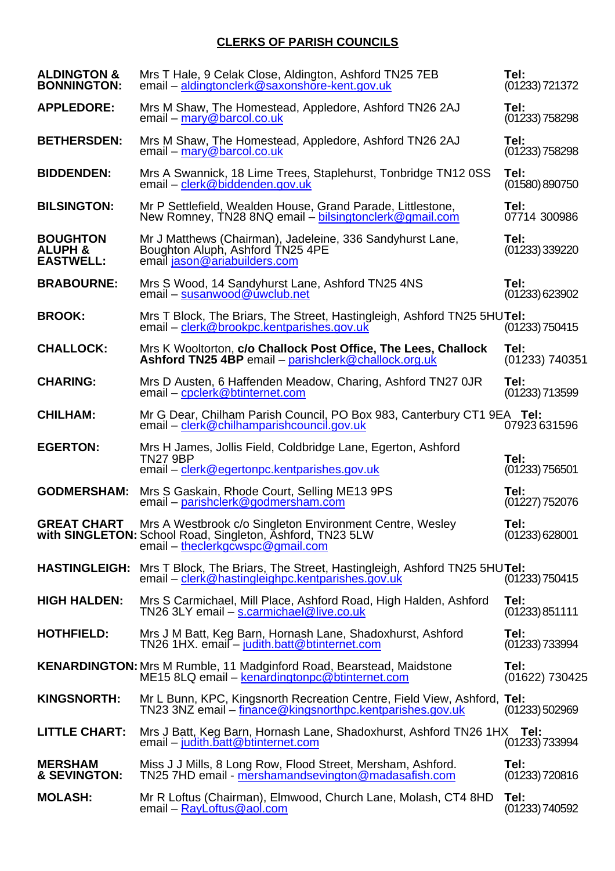## **CLERKS OF PARISH COUNCILS**

| <b>ALDINGTON &amp;</b><br><b>BONNINGTON:</b>              | Mrs T Hale, 9 Celak Close, Aldington, Ashford TN25 7EB<br>email - aldingtonclerk@saxonshore-kent.gov.uk                                                   | Tel:<br>$(01233)$ 721372 |
|-----------------------------------------------------------|-----------------------------------------------------------------------------------------------------------------------------------------------------------|--------------------------|
| <b>APPLEDORE:</b>                                         | Mrs M Shaw, The Homestead, Appledore, Ashford TN26 2AJ<br>email - mary@barcol.co.uk                                                                       | Tel:<br>$(01233)$ 758298 |
| <b>BETHERSDEN:</b>                                        | Mrs M Shaw, The Homestead, Appledore, Ashford TN26 2AJ<br>email - mary@barcol.co.uk                                                                       | Tel:<br>$(01233)$ 758298 |
| <b>BIDDENDEN:</b>                                         | Mrs A Swannick, 18 Lime Trees, Staplehurst, Tonbridge TN12 0SS<br>email – clerk@biddenden.gov.uk                                                          | Tel:<br>(01580)890750    |
| <b>BILSINGTON:</b>                                        | Mr P Settlefield, Wealden House, Grand Parade, Littlestone,<br>New Romney, TN28 8NQ email – bilsingtonclerk@gmail.com                                     | Tel:<br>07714 300986     |
| <b>BOUGHTON</b><br><b>ALUPH &amp;</b><br><b>EASTWELL:</b> | Mr J Matthews (Chairman), Jadeleine, 336 Sandyhurst Lane,<br>Boughton Aluph, Ashford TN25 4PE<br>email jason@ariabuilders.com                             | Tel:<br>$(01233)$ 339220 |
| <b>BRABOURNE:</b>                                         | Mrs S Wood, 14 Sandyhurst Lane, Ashford TN25 4NS<br>email - susanwood@uwclub.net                                                                          | Tel:<br>(01233) 623902   |
| <b>BROOK:</b>                                             | Mrs T Block, The Briars, The Street, Hastingleigh, Ashford TN25 5HUTel:<br>email - clerk@brookpc.kentparishes.gov.uk                                      | (01233) 750415           |
| <b>CHALLOCK:</b>                                          | Mrs K Wooltorton, c/o Challock Post Office, The Lees, Challock<br>Ashford TN25 4BP email - parishclerk@challock.org.uk                                    | Tel:<br>(01233) 740351   |
| <b>CHARING:</b>                                           | Mrs D Austen, 6 Haffenden Meadow, Charing, Ashford TN27 OJR<br>email - cpclerk@btinternet.com                                                             | Tel:<br>$(01233)$ 713599 |
| <b>CHILHAM:</b>                                           | Mr G Dear, Chilham Parish Council, PO Box 983, Canterbury CT1 9EA Tel:<br>email – clerk@chilhamparishcouncil.gov.uk                                       | 07923631596              |
| <b>EGERTON:</b>                                           | Mrs H James, Jollis Field, Coldbridge Lane, Egerton, Ashford<br><b>TN27 9BP</b><br>email - clerk@egertonpc.kentparishes.gov.uk                            | Tel:<br>$(01233)$ 756501 |
| <b>GODMERSHAM:</b>                                        | Mrs S Gaskain, Rhode Court, Selling ME13 9PS<br>email - parishclerk@godmersham.com                                                                        | Tel:<br>$(01227)$ 752076 |
| <b>GREAT CHART</b>                                        | Mrs A Westbrook c/o Singleton Environment Centre, Wesley<br>with SINGLETON: School Road, Singleton, Ashford, TN23 5LW<br>email - theclerkgcwspc@gmail.com | Tel:<br>(01233) 628001   |
|                                                           | <b>HASTINGLEIGH:</b> Mrs T Block, The Briars, The Street, Hastingleigh, Ashford TN25 5HUTel:<br>email – clerk@hastingleighpc.kentparishes.gov.uk          | $(01233)$ 750415         |
| <b>HIGH HALDEN:</b>                                       | Mrs S Carmichael, Mill Place, Ashford Road, High Halden, Ashford<br>TN26 3LY email - s.carmichael@live.co.uk                                              | Tel:<br>(01233) 851111   |
| <b>HOTHFIELD:</b>                                         | Mrs J M Batt, Keg Barn, Hornash Lane, Shadoxhurst, Ashford<br>TN26 1HX. email - judith.batt@btinternet.com                                                | Tel:<br>(01233) 733994   |
|                                                           | <b>KENARDINGTON:</b> Mrs M Rumble, 11 Madginford Road, Bearstead, Maidstone<br>ME15 8LQ email - kenardingtonpc@btinternet.com                             | Tel:<br>(01622) 730425   |
| <b>KINGSNORTH:</b>                                        | Mr L Bunn, KPC, Kingsnorth Recreation Centre, Field View, Ashford, Tel:<br>TN23 3NZ email - finance@kingsnorthpc.kentparishes.gov.uk                      | $(01233)$ 502969         |
| <b>LITTLE CHART:</b>                                      | Mrs J Batt, Keg Barn, Hornash Lane, Shadoxhurst, Ashford TN26 1HX Tel:<br>email – judith.batt@btinternet.com                                              | $(01233)$ 733994         |
| <b>MERSHAM</b><br>& SEVINGTON:                            | Miss J J Mills, 8 Long Row, Flood Street, Mersham, Ashford.<br>TN25 7HD email - mershamandsevington@madasafish.com                                        | Tel:<br>$(01233)$ 720816 |
| <b>MOLASH:</b>                                            | Mr R Loftus (Chairman), Elmwood, Church Lane, Molash, CT4 8HD<br>$email - RayLoftus@aol.com$                                                              | Tel:<br>$(01233)$ 740592 |